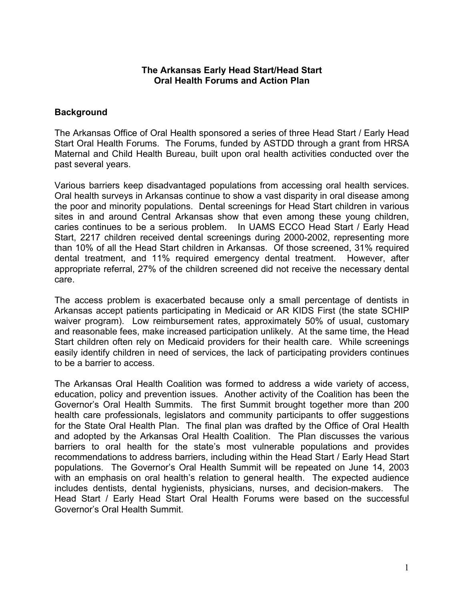## **The Arkansas Early Head Start/Head Start Oral Health Forums and Action Plan**

## **Background**

The Arkansas Office of Oral Health sponsored a series of three Head Start / Early Head Start Oral Health Forums. The Forums, funded by ASTDD through a grant from HRSA Maternal and Child Health Bureau, built upon oral health activities conducted over the past several years.

Various barriers keep disadvantaged populations from accessing oral health services. Oral health surveys in Arkansas continue to show a vast disparity in oral disease among the poor and minority populations. Dental screenings for Head Start children in various sites in and around Central Arkansas show that even among these young children, caries continues to be a serious problem. In UAMS ECCO Head Start / Early Head Start, 2217 children received dental screenings during 2000-2002, representing more than 10% of all the Head Start children in Arkansas. Of those screened, 31% required dental treatment, and 11% required emergency dental treatment. However, after appropriate referral, 27% of the children screened did not receive the necessary dental care.

The access problem is exacerbated because only a small percentage of dentists in Arkansas accept patients participating in Medicaid or AR KIDS First (the state SCHIP waiver program). Low reimbursement rates, approximately 50% of usual, customary and reasonable fees, make increased participation unlikely. At the same time, the Head Start children often rely on Medicaid providers for their health care. While screenings easily identify children in need of services, the lack of participating providers continues to be a barrier to access.

The Arkansas Oral Health Coalition was formed to address a wide variety of access, education, policy and prevention issues. Another activity of the Coalition has been the Governor's Oral Health Summits. The first Summit brought together more than 200 health care professionals, legislators and community participants to offer suggestions for the State Oral Health Plan. The final plan was drafted by the Office of Oral Health and adopted by the Arkansas Oral Health Coalition. The Plan discusses the various barriers to oral health for the state's most vulnerable populations and provides recommendations to address barriers, including within the Head Start / Early Head Start populations. The Governor's Oral Health Summit will be repeated on June 14, 2003 with an emphasis on oral health's relation to general health. The expected audience includes dentists, dental hygienists, physicians, nurses, and decision-makers. The Head Start / Early Head Start Oral Health Forums were based on the successful Governor's Oral Health Summit.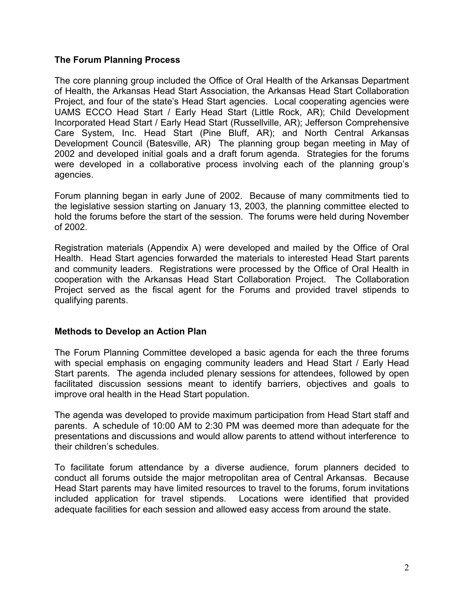## **The Forum Planning Process**

The core planning group included the Office of Oral Health of the Arkansas Department of Health, the Arkansas Head Start Association, the Arkansas Head Start Collaboration Project, and four of the state's Head Start agencies. Local cooperating agencies were UAMS ECCO Head Start / Early Head Start (Little Rock, AR); Child Development Incorporated Head Start / Early Head Start (Russellville, AR); Jefferson Comprehensive Care System, Inc. Head Start (Pine Bluff, AR); and North Central Arkansas Development Council (Batesville, AR) The planning group began meeting in May of 2002 and developed initial goals and a draft forum agenda. Strategies for the forums were developed in a collaborative process involving each of the planning group's agencies.

Forum planning began in early June of 2002. Because of many commitments tied to the legislative session starting on January 13, 2003, the planning committee elected to hold the forums before the start of the session. The forums were held during November of 2002.

Registration materials (Appendix A) were developed and mailed by the Office of Oral Health. Head Start agencies forwarded the materials to interested Head Start parents and community leaders. Registrations were processed by the Office of Oral Health in cooperation with the Arkansas Head Start Collaboration Project. The Collaboration Project served as the fiscal agent for the Forums and provided travel stipends to qualifying parents.

## **Methods to Develop an Action Plan**

The Forum Planning Committee developed a basic agenda for each the three forums with special emphasis on engaging community leaders and Head Start / Early Head Start parents. The agenda included plenary sessions for attendees, followed by open facilitated discussion sessions meant to identify barriers, objectives and goals to improve oral health in the Head Start population.

The agenda was developed to provide maximum participation from Head Start staff and parents. A schedule of 10:00 AM to 2:30 PM was deemed more than adequate for the presentations and discussions and would allow parents to attend without interference to their children's schedules.

To facilitate forum attendance by a diverse audience, forum planners decided to conduct all forums outside the major metropolitan area of Central Arkansas. Because Head Start parents may have limited resources to travel to the forums, forum invitations included application for travel stipends. Locations were identified that provided adequate facilities for each session and allowed easy access from around the state.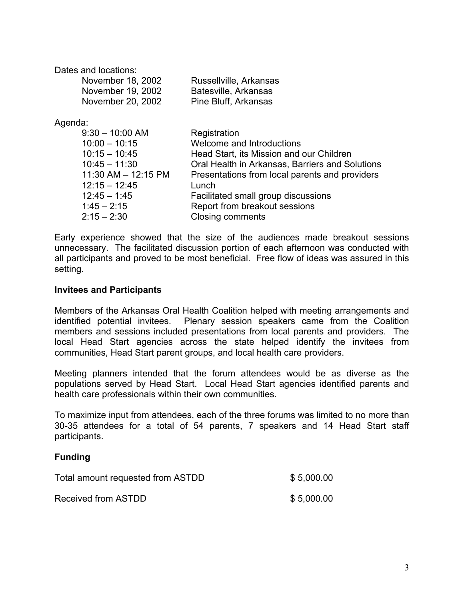Dates and locations:

| November 18, 2002 | Russellville, Arkansas |
|-------------------|------------------------|
| November 19, 2002 | Batesville, Arkansas   |
| November 20, 2002 | Pine Bluff, Arkansas   |

Agenda:

| $9:30 - 10:00$ AM   | Registration                                    |
|---------------------|-------------------------------------------------|
| $10:00 - 10:15$     | Welcome and Introductions                       |
| $10:15 - 10:45$     | Head Start, its Mission and our Children        |
| $10:45 - 11:30$     | Oral Health in Arkansas, Barriers and Solutions |
| 11:30 AM - 12:15 PM | Presentations from local parents and providers  |
| $12:15 - 12:45$     | Lunch                                           |
| $12.45 - 1.45$      | Facilitated small group discussions             |
| $1:45 - 2:15$       | Report from breakout sessions                   |
| $2:15 - 2:30$       | <b>Closing comments</b>                         |

Early experience showed that the size of the audiences made breakout sessions unnecessary. The facilitated discussion portion of each afternoon was conducted with all participants and proved to be most beneficial. Free flow of ideas was assured in this setting.

### **Invitees and Participants**

Members of the Arkansas Oral Health Coalition helped with meeting arrangements and identified potential invitees. Plenary session speakers came from the Coalition members and sessions included presentations from local parents and providers. The local Head Start agencies across the state helped identify the invitees from communities, Head Start parent groups, and local health care providers.

Meeting planners intended that the forum attendees would be as diverse as the populations served by Head Start. Local Head Start agencies identified parents and health care professionals within their own communities.

To maximize input from attendees, each of the three forums was limited to no more than 30-35 attendees for a total of 54 parents, 7 speakers and 14 Head Start staff participants.

## **Funding**

| Total amount requested from ASTDD | \$5,000.00 |
|-----------------------------------|------------|
| Received from ASTDD               | \$5,000.00 |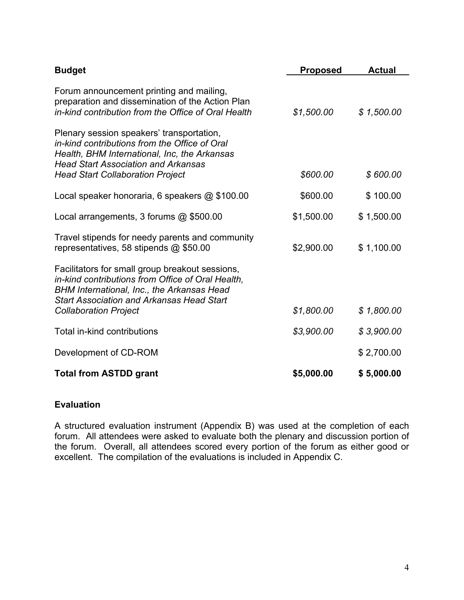| <b>Budget</b>                                                                                                                                                                                                                          | <b>Proposed</b> | <b>Actual</b> |
|----------------------------------------------------------------------------------------------------------------------------------------------------------------------------------------------------------------------------------------|-----------------|---------------|
| Forum announcement printing and mailing,<br>preparation and dissemination of the Action Plan<br>in-kind contribution from the Office of Oral Health                                                                                    | \$1,500.00      | \$1,500.00    |
| Plenary session speakers' transportation,<br>in-kind contributions from the Office of Oral<br>Health, BHM International, Inc, the Arkansas<br><b>Head Start Association and Arkansas</b>                                               |                 |               |
| <b>Head Start Collaboration Project</b>                                                                                                                                                                                                | \$600.00        | \$600.00      |
| Local speaker honoraria, 6 speakers @ \$100.00                                                                                                                                                                                         | \$600.00        | \$100.00      |
| Local arrangements, 3 forums @ \$500.00                                                                                                                                                                                                | \$1,500.00      | \$1,500.00    |
| Travel stipends for needy parents and community<br>representatives, 58 stipends @ \$50.00                                                                                                                                              | \$2,900.00      | \$1,100.00    |
| Facilitators for small group breakout sessions,<br>in-kind contributions from Office of Oral Health,<br>BHM International, Inc., the Arkansas Head<br><b>Start Association and Arkansas Head Start</b><br><b>Collaboration Project</b> | \$1,800.00      | \$1,800.00    |
|                                                                                                                                                                                                                                        |                 |               |
| Total in-kind contributions                                                                                                                                                                                                            | \$3,900.00      | \$3,900.00    |
| Development of CD-ROM                                                                                                                                                                                                                  |                 | \$2,700.00    |
| <b>Total from ASTDD grant</b>                                                                                                                                                                                                          | \$5,000.00      | \$5,000.00    |

## **Evaluation**

A structured evaluation instrument (Appendix B) was used at the completion of each forum. All attendees were asked to evaluate both the plenary and discussion portion of the forum. Overall, all attendees scored every portion of the forum as either good or excellent. The compilation of the evaluations is included in Appendix C.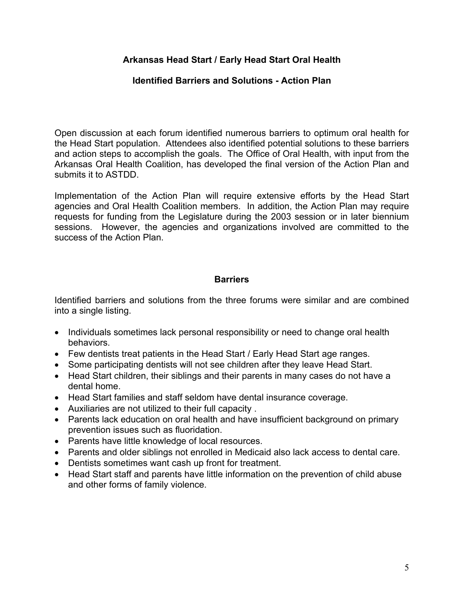# **Arkansas Head Start / Early Head Start Oral Health**

## **Identified Barriers and Solutions - Action Plan**

Open discussion at each forum identified numerous barriers to optimum oral health for the Head Start population. Attendees also identified potential solutions to these barriers and action steps to accomplish the goals. The Office of Oral Health, with input from the Arkansas Oral Health Coalition, has developed the final version of the Action Plan and submits it to ASTDD.

Implementation of the Action Plan will require extensive efforts by the Head Start agencies and Oral Health Coalition members. In addition, the Action Plan may require requests for funding from the Legislature during the 2003 session or in later biennium sessions. However, the agencies and organizations involved are committed to the success of the Action Plan.

### **Barriers**

Identified barriers and solutions from the three forums were similar and are combined into a single listing.

- Individuals sometimes lack personal responsibility or need to change oral health behaviors.
- Few dentists treat patients in the Head Start / Early Head Start age ranges.
- Some participating dentists will not see children after they leave Head Start.
- Head Start children, their siblings and their parents in many cases do not have a dental home.
- Head Start families and staff seldom have dental insurance coverage.
- Auxiliaries are not utilized to their full capacity .
- Parents lack education on oral health and have insufficient background on primary prevention issues such as fluoridation.
- Parents have little knowledge of local resources.
- Parents and older siblings not enrolled in Medicaid also lack access to dental care.
- Dentists sometimes want cash up front for treatment.
- Head Start staff and parents have little information on the prevention of child abuse and other forms of family violence.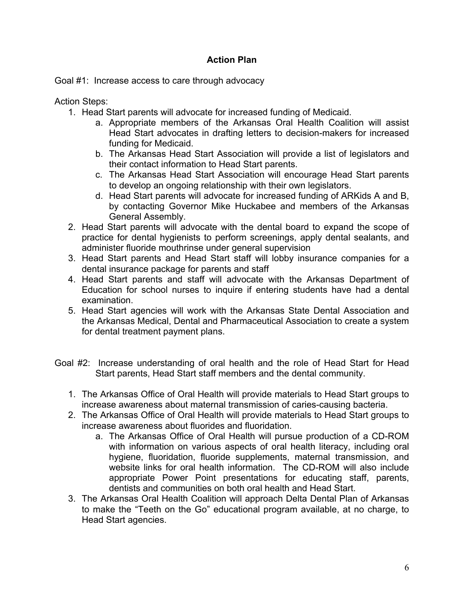# **Action Plan**

Goal #1: Increase access to care through advocacy

Action Steps:

- 1. Head Start parents will advocate for increased funding of Medicaid.
	- a. Appropriate members of the Arkansas Oral Health Coalition will assist Head Start advocates in drafting letters to decision-makers for increased funding for Medicaid.
	- b. The Arkansas Head Start Association will provide a list of legislators and their contact information to Head Start parents.
	- c. The Arkansas Head Start Association will encourage Head Start parents to develop an ongoing relationship with their own legislators.
	- d. Head Start parents will advocate for increased funding of ARKids A and B, by contacting Governor Mike Huckabee and members of the Arkansas General Assembly.
- 2. Head Start parents will advocate with the dental board to expand the scope of practice for dental hygienists to perform screenings, apply dental sealants, and administer fluoride mouthrinse under general supervision
- 3. Head Start parents and Head Start staff will lobby insurance companies for a dental insurance package for parents and staff
- 4. Head Start parents and staff will advocate with the Arkansas Department of Education for school nurses to inquire if entering students have had a dental examination.
- 5. Head Start agencies will work with the Arkansas State Dental Association and the Arkansas Medical, Dental and Pharmaceutical Association to create a system for dental treatment payment plans.
- Goal #2: Increase understanding of oral health and the role of Head Start for Head Start parents, Head Start staff members and the dental community.
	- 1. The Arkansas Office of Oral Health will provide materials to Head Start groups to increase awareness about maternal transmission of caries-causing bacteria.
	- 2. The Arkansas Office of Oral Health will provide materials to Head Start groups to increase awareness about fluorides and fluoridation.
		- a. The Arkansas Office of Oral Health will pursue production of a CD-ROM with information on various aspects of oral health literacy, including oral hygiene, fluoridation, fluoride supplements, maternal transmission, and website links for oral health information. The CD-ROM will also include appropriate Power Point presentations for educating staff, parents, dentists and communities on both oral health and Head Start.
	- 3. The Arkansas Oral Health Coalition will approach Delta Dental Plan of Arkansas to make the "Teeth on the Go" educational program available, at no charge, to Head Start agencies.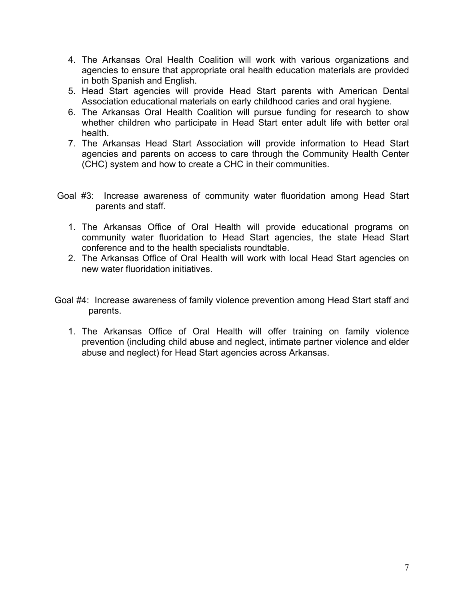- 4. The Arkansas Oral Health Coalition will work with various organizations and agencies to ensure that appropriate oral health education materials are provided in both Spanish and English.
- 5. Head Start agencies will provide Head Start parents with American Dental Association educational materials on early childhood caries and oral hygiene.
- 6. The Arkansas Oral Health Coalition will pursue funding for research to show whether children who participate in Head Start enter adult life with better oral health.
- 7. The Arkansas Head Start Association will provide information to Head Start agencies and parents on access to care through the Community Health Center (CHC) system and how to create a CHC in their communities.
- Goal #3: Increase awareness of community water fluoridation among Head Start parents and staff.
	- 1. The Arkansas Office of Oral Health will provide educational programs on community water fluoridation to Head Start agencies, the state Head Start conference and to the health specialists roundtable.
	- 2. The Arkansas Office of Oral Health will work with local Head Start agencies on new water fluoridation initiatives.
- Goal #4: Increase awareness of family violence prevention among Head Start staff and parents.
	- 1. The Arkansas Office of Oral Health will offer training on family violence prevention (including child abuse and neglect, intimate partner violence and elder abuse and neglect) for Head Start agencies across Arkansas.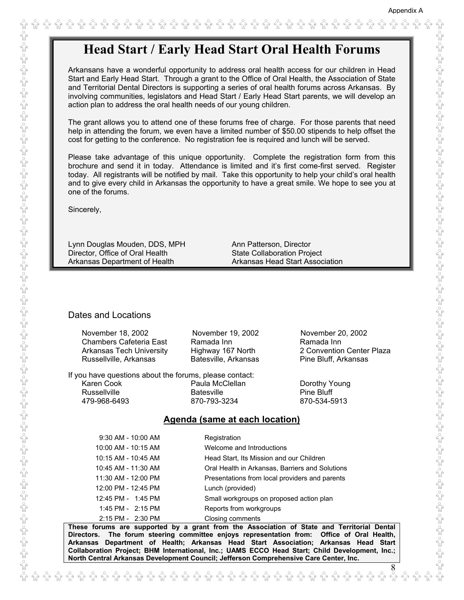8

# **Head Start / Early Head Start Oral Health Forums**

Arkansans have a wonderful opportunity to address oral health access for our children in Head Start and Early Head Start. Through a grant to the Office of Oral Health, the Association of State and Territorial Dental Directors is supporting a series of oral health forums across Arkansas. By involving communities, legislators and Head Start / Early Head Start parents, we will develop an action plan to address the oral health needs of our young children.

The grant allows you to attend one of these forums free of charge. For those parents that need help in attending the forum, we even have a limited number of \$50.00 stipends to help offset the cost for getting to the conference. No registration fee is required and lunch will be served.

Please take advantage of this unique opportunity. Complete the registration form from this brochure and send it in today. Attendance is limited and it's first come-first served. Register today. All registrants will be notified by mail. Take this opportunity to help your child's oral health and to give every child in Arkansas the opportunity to have a great smile. We hope to see you at one of the forums.

Sincerely,

Lynn Douglas Mouden, DDS, MPH Ann Patterson, Director Director, Office of Oral Health State Collaboration Project Arkansas Department of Health Arkansas Head Start Association

#### Dates and Locations

| November 18, 2002<br><b>Chambers Cafeteria East</b><br><b>Arkansas Tech University</b><br>Russellville, Arkansas | November 19, 2002<br>Ramada Inn<br>Highway 167 North<br>Batesville, Arkansas | November 20, 2002<br>Ramada Inn<br>2 Convention Center Plaza<br>Pine Bluff, Arkansas |
|------------------------------------------------------------------------------------------------------------------|------------------------------------------------------------------------------|--------------------------------------------------------------------------------------|
| If you have questions about the forums, please contact:<br>Karen Cook<br><b>Russellville</b><br>479-968-6493     | Paula McClellan<br><b>Batesville</b><br>870-793-3234                         | Dorothy Young<br>Pine Bluff<br>870-534-5913                                          |
|                                                                                                                  | Agenda (same at each location)                                               |                                                                                      |
| 9:30 AM - 10:00 AM<br>10:00 AM - 10:15 AM                                                                        | Registration<br>Welcome and Introductions                                    |                                                                                      |

|                     | .                                               |
|---------------------|-------------------------------------------------|
| 10:00 AM - 10:15 AM | Welcome and Introductions                       |
| 10:15 AM - 10:45 AM | Head Start, Its Mission and our Children        |
| 10:45 AM - 11:30 AM | Oral Health in Arkansas, Barriers and Solutions |
| 11:30 AM - 12:00 PM | Presentations from local providers and parents  |
| 12:00 PM - 12:45 PM | Lunch (provided)                                |
| 12:45 PM - 1:45 PM  | Small workgroups on proposed action plan        |
| 1:45 PM - 2:15 PM   | Reports from workgroups                         |
| 2:15 PM - 2:30 PM   | Closing comments                                |

**These forums are supported by a grant from the Association of State and Territorial Dental Directors. The forum steering committee enjoys representation from: Office of Oral Health, Arkansas Department of Health; Arkansas Head Start Association; Arkansas Head Start Collaboration Project; BHM International, Inc.; UAMS ECCO Head Start; Child Development, Inc.; North Central Arkansas Development Council; Jefferson Comprehensive Care Center, Inc.**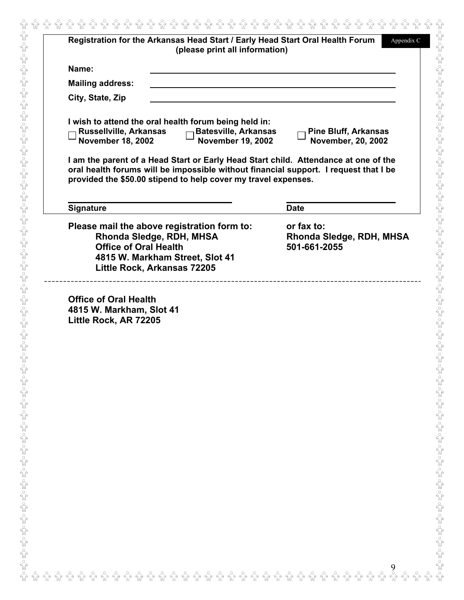|                                                    | (please print all information)                                                                                                            | Registration for the Arkansas Head Start / Early Head Start Oral Health Forum<br>Appendix C                                                                                 |
|----------------------------------------------------|-------------------------------------------------------------------------------------------------------------------------------------------|-----------------------------------------------------------------------------------------------------------------------------------------------------------------------------|
| Name:                                              |                                                                                                                                           |                                                                                                                                                                             |
| <b>Mailing address:</b>                            |                                                                                                                                           |                                                                                                                                                                             |
| City, State, Zip                                   |                                                                                                                                           |                                                                                                                                                                             |
| Russellville, Arkansas<br><b>November 18, 2002</b> | I wish to attend the oral health forum being held in:<br><b>Batesville, Arkansas</b><br><b>November 19, 2002</b>                          | <b>Pine Bluff, Arkansas</b><br>November, 20, 2002                                                                                                                           |
|                                                    | provided the \$50.00 stipend to help cover my travel expenses.                                                                            | I am the parent of a Head Start or Early Head Start child. Attendance at one of the<br>oral health forums will be impossible without financial support. I request that I be |
| <b>Signature</b>                                   |                                                                                                                                           | <b>Date</b>                                                                                                                                                                 |
| <b>Office of Oral Health</b>                       | Please mail the above registration form to:<br>Rhonda Sledge, RDH, MHSA<br>4815 W. Markham Street, Slot 41<br>Little Rock, Arkansas 72205 | or fax to:<br>Rhonda Sledge, RDH, MHSA<br>501-661-2055                                                                                                                      |
|                                                    |                                                                                                                                           |                                                                                                                                                                             |
|                                                    |                                                                                                                                           |                                                                                                                                                                             |
|                                                    |                                                                                                                                           |                                                                                                                                                                             |
|                                                    |                                                                                                                                           |                                                                                                                                                                             |